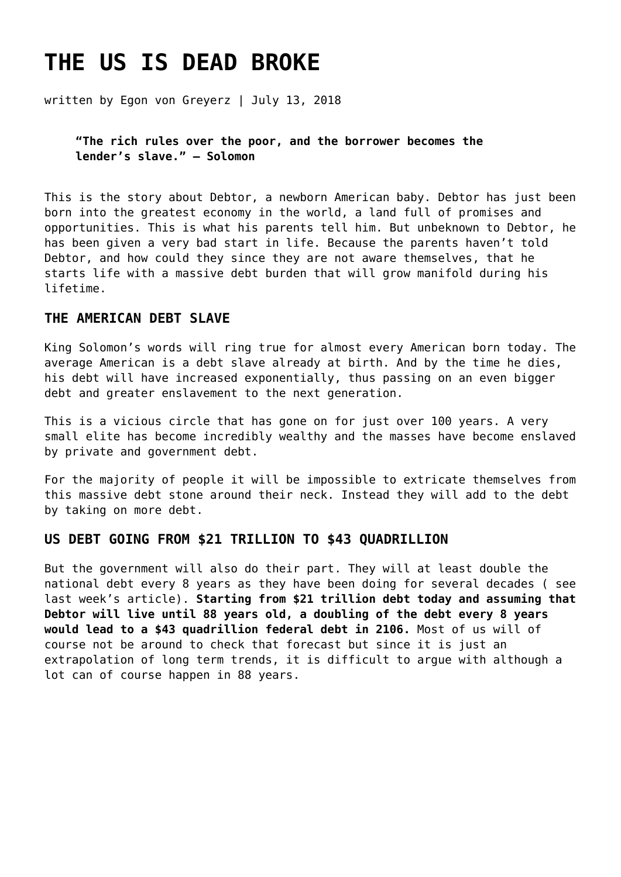# **[THE US IS DEAD BROKE](https://goldswitzerland.com/the-us-is-dead-broke/)**

written by Egon von Greyerz | July 13, 2018

**"The rich rules over the poor, and the borrower becomes the lender's slave." – Solomon**

This is the story about Debtor, a newborn American baby. Debtor has just been born into the greatest economy in the world, a land full of promises and opportunities. This is what his parents tell him. But unbeknown to Debtor, he has been given a very bad start in life. Because the parents haven't told Debtor, and how could they since they are not aware themselves, that he starts life with a massive debt burden that will grow manifold during his lifetime.

# **THE AMERICAN DEBT SLAVE**

King Solomon's words will ring true for almost every American born today. The average American is a debt slave already at birth. And by the time he dies, his debt will have increased exponentially, thus passing on an even bigger debt and greater enslavement to the next generation.

This is a vicious circle that has gone on for just over 100 years. A very small elite has become incredibly wealthy and the masses have become enslaved by private and government debt.

For the majority of people it will be impossible to extricate themselves from this massive debt stone around their neck. Instead they will add to the debt by taking on more debt.

# **US DEBT GOING FROM \$21 TRILLION TO \$43 QUADRILLION**

But the government will also do their part. They will at least double the national debt every 8 years as they have been doing for several decades ( see [last week's](https://goldswitzerland.com/us-debt-explosion-weimar-ii/) article). **Starting from \$21 trillion debt today and assuming that Debtor will live until 88 years old, a doubling of the debt every 8 years would lead to a \$43 quadrillion federal debt in 2106.** Most of us will of course not be around to check that forecast but since it is just an extrapolation of long term trends, it is difficult to argue with although a lot can of course happen in 88 years.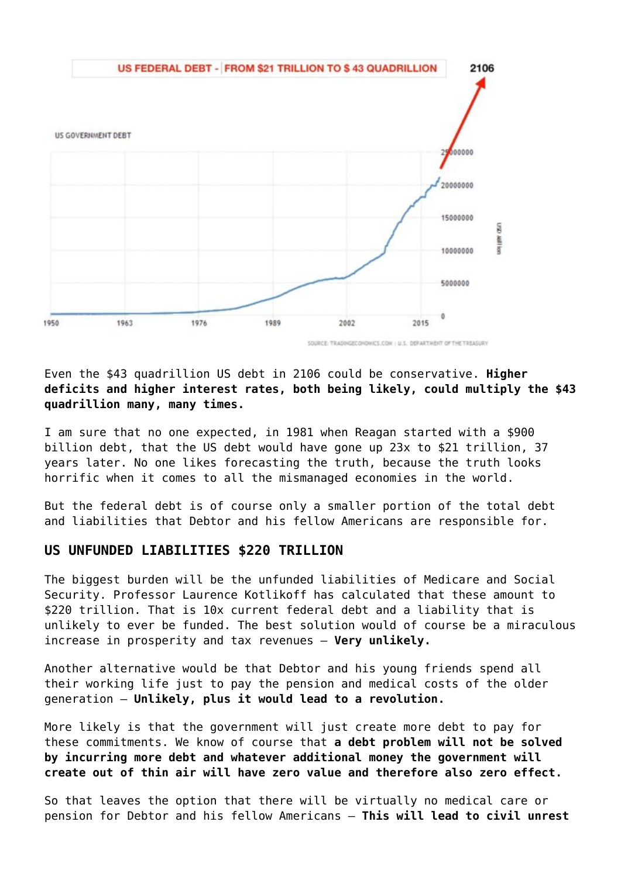

SOURCE: TRADINGECONDINCS.COM : U.S. DEPARTMENT OF THE TREASURY

Even the \$43 quadrillion US debt in 2106 could be conservative. **Higher deficits and higher interest rates, both being likely, could multiply the \$43 quadrillion many, many times.**

I am sure that no one expected, in 1981 when Reagan started with a \$900 billion debt, that the US debt would have gone up 23x to \$21 trillion, 37 years later. No one likes forecasting the truth, because the truth looks horrific when it comes to all the mismanaged economies in the world.

But the federal debt is of course only a smaller portion of the total debt and liabilities that Debtor and his fellow Americans are responsible for.

# **US UNFUNDED LIABILITIES \$220 TRILLION**

The biggest burden will be the unfunded liabilities of Medicare and Social Security. Professor Laurence Kotlikoff has calculated that these amount to \$220 trillion. That is 10x current federal debt and a liability that is unlikely to ever be funded. The best solution would of course be a miraculous increase in prosperity and tax revenues – **Very unlikely.**

Another alternative would be that Debtor and his young friends spend all their working life just to pay the pension and medical costs of the older generation – **Unlikely, plus it would lead to a revolution.**

More likely is that the government will just create more debt to pay for these commitments. We know of course that **a debt problem will not be solved by incurring more debt and whatever additional money the government will create out of thin air will have zero value and therefore also zero effect.**

So that leaves the option that there will be virtually no medical care or pension for Debtor and his fellow Americans – **This will lead to civil unrest**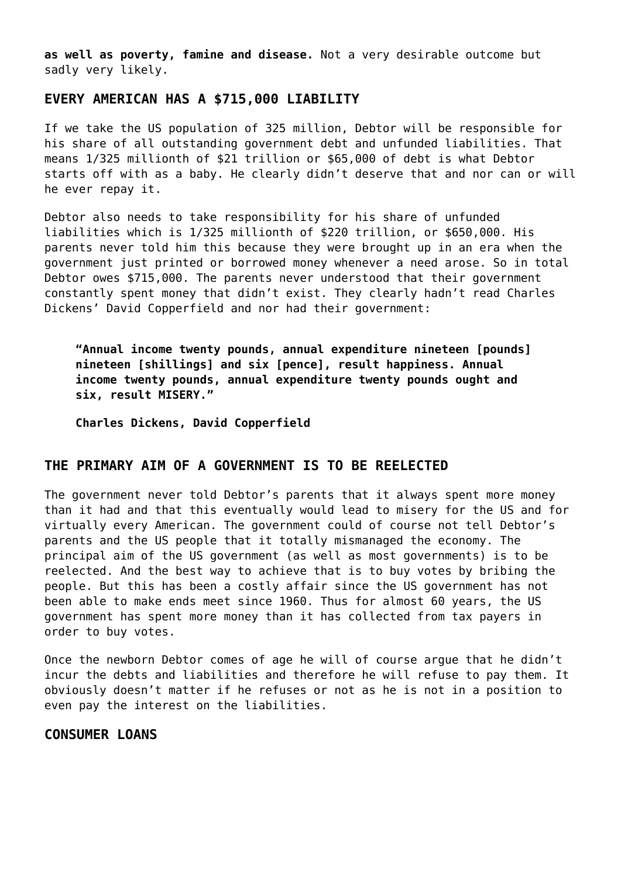**as well as poverty, famine and disease.** Not a very desirable outcome but sadly very likely.

# **EVERY AMERICAN HAS A \$715,000 LIABILITY**

If we take the US population of 325 million, Debtor will be responsible for his share of all outstanding government debt and unfunded liabilities. That means 1/325 millionth of \$21 trillion or \$65,000 of debt is what Debtor starts off with as a baby. He clearly didn't deserve that and nor can or will he ever repay it.

Debtor also needs to take responsibility for his share of unfunded liabilities which is 1/325 millionth of \$220 trillion, or \$650,000. His parents never told him this because they were brought up in an era when the government just printed or borrowed money whenever a need arose. So in total Debtor owes \$715,000. The parents never understood that their government constantly spent money that didn't exist. They clearly hadn't read Charles Dickens' David Copperfield and nor had their government:

**"Annual income twenty pounds, annual expenditure nineteen [pounds] nineteen [shillings] and six [pence], result happiness. Annual income twenty pounds, annual expenditure twenty pounds ought and six, result MISERY."**

**Charles Dickens, David Copperfield**

## **THE PRIMARY AIM OF A GOVERNMENT IS TO BE REELECTED**

The government never told Debtor's parents that it always spent more money than it had and that this eventually would lead to misery for the US and for virtually every American. The government could of course not tell Debtor's parents and the US people that it totally mismanaged the economy. The principal aim of the US government (as well as most governments) is to be reelected. And the best way to achieve that is to buy votes by bribing the people. But this has been a costly affair since the US government has not been able to make ends meet since 1960. Thus for almost 60 years, the US government has spent more money than it has collected from tax payers in order to buy votes.

Once the newborn Debtor comes of age he will of course argue that he didn't incur the debts and liabilities and therefore he will refuse to pay them. It obviously doesn't matter if he refuses or not as he is not in a position to even pay the interest on the liabilities.

## **CONSUMER LOANS**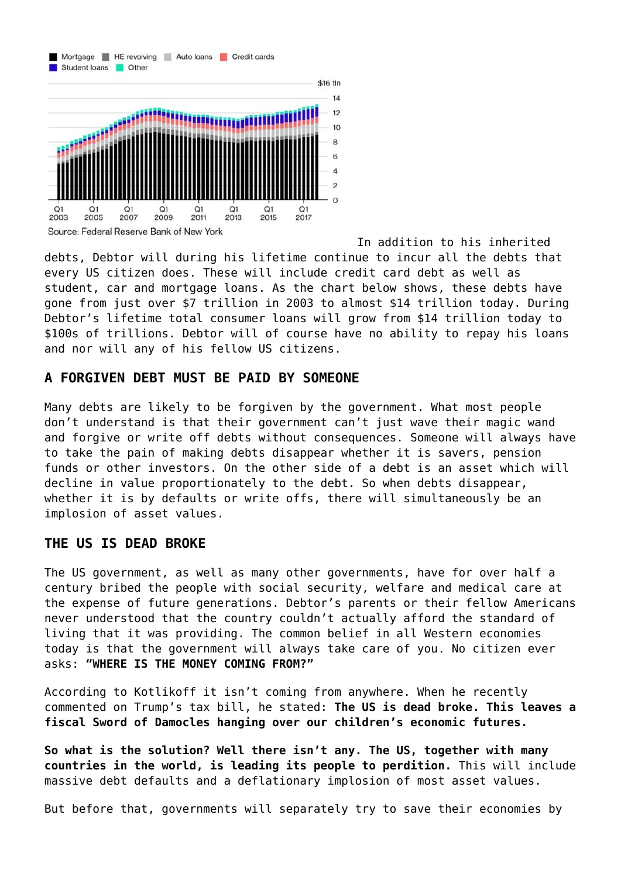

 $O<sub>1</sub>$  $O<sub>1</sub>$  $O<sub>1</sub>$  $O<sub>1</sub>$  $O<sub>1</sub>$  $O<sub>1</sub>$  $O<sub>1</sub>$ 2003 2005 2007 2009 2011 2013 2015 Source: Federal Reserve Bank of New York

In addition to his inherited debts, Debtor will during his lifetime continue to incur all the debts that every US citizen does. These will include credit card debt as well as student, car and mortgage loans. As the chart below shows, these debts have gone from just over \$7 trillion in 2003 to almost \$14 trillion today. During Debtor's lifetime total consumer loans will grow from \$14 trillion today to \$100s of trillions. Debtor will of course have no ability to repay his loans and nor will any of his fellow US citizens.

 $O<sub>1</sub>$ 

 $2017$ 

 $\Omega$ 

# **A FORGIVEN DEBT MUST BE PAID BY SOMEONE**

Many debts are likely to be forgiven by the government. What most people don't understand is that their government can't just wave their magic wand and forgive or write off debts without consequences. Someone will always have to take the pain of making debts disappear whether it is savers, pension funds or other investors. On the other side of a debt is an asset which will decline in value proportionately to the debt. So when debts disappear, whether it is by defaults or write offs, there will simultaneously be an implosion of asset values.

#### **THE US IS DEAD BROKE**

The US government, as well as many other governments, have for over half a century bribed the people with social security, welfare and medical care at the expense of future generations. Debtor's parents or their fellow Americans never understood that the country couldn't actually afford the standard of living that it was providing. The common belief in all Western economies today is that the government will always take care of you. No citizen ever asks: **"WHERE IS THE MONEY COMING FROM?"**

According to Kotlikoff it isn't coming from anywhere. When he recently commented on Trump's tax bill, he stated: **The US is dead broke. This leaves a fiscal Sword of Damocles hanging over our children's economic futures.**

**So what is the solution? Well there isn't any. The US, together with many countries in the world, is leading its people to perdition.** This will include massive debt defaults and a deflationary implosion of most asset values.

But before that, governments will separately try to save their economies by